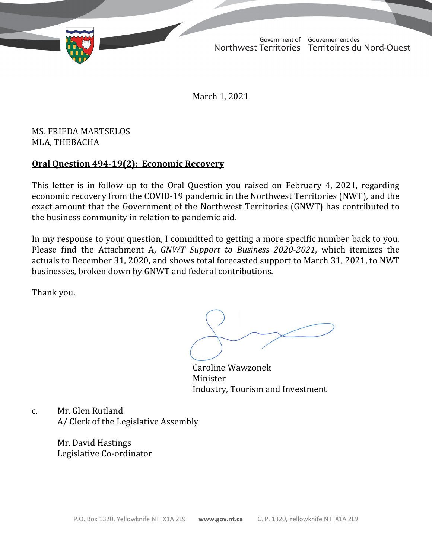TD 333-19(2) TABLED ON MARCH 1, 2021Government of Gouvernement des Northwest Territories Territoires du Nord-Ouest

March 1, 2021

## MS. FRIEDA MARTSELOS MLA, THEBACHA

## **Oral Question 494-19(2): Economic Recovery**

This letter is in follow up to the Oral Question you raised on February 4, 2021, regarding economic recovery from the COVID-19 pandemic in the Northwest Territories (NWT), and the exact amount that the Government of the Northwest Territories (GNWT) has contributed to the business community in relation to pandemic aid.

In my response to your question, I committed to getting a more specific number back to you. Please find the Attachment A, *GNWT Support to Business 2020-2021*, which itemizes the actuals to December 31, 2020, and shows total forecasted support to March 31, 2021, to NWT businesses, broken down by GNWT and federal contributions.

Thank you.

Caroline Wawzonek Minister Industry, Tourism and Investment

c. Mr. Glen Rutland A/ Clerk of the Legislative Assembly

> Mr. David Hastings Legislative Co-ordinator